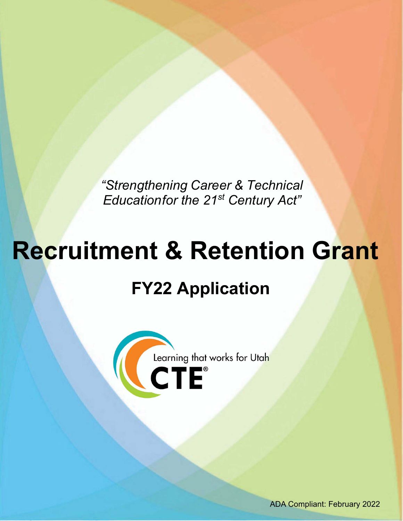*"Strengthening Career & Technical Educationfor the 21st Century Act"* 

# **Recruitment & Retention Grant FY22 Application**



ADA Compliant: February 2022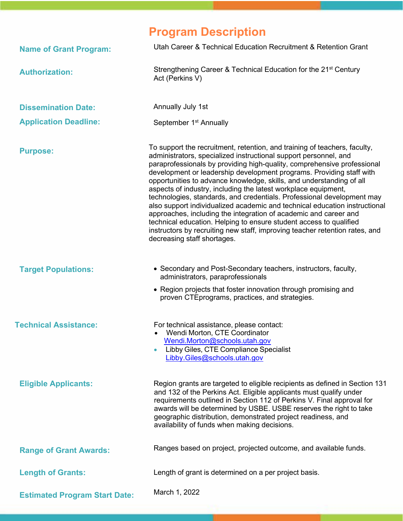### **Program Description**

| <b>Name of Grant Program:</b>        | Utah Career & Technical Education Recruitment & Retention Grant                                                                                                                                                                                                                                                                                                                                                                                                                                                                                                                                                                                                                                                                                                                                                                                            |
|--------------------------------------|------------------------------------------------------------------------------------------------------------------------------------------------------------------------------------------------------------------------------------------------------------------------------------------------------------------------------------------------------------------------------------------------------------------------------------------------------------------------------------------------------------------------------------------------------------------------------------------------------------------------------------------------------------------------------------------------------------------------------------------------------------------------------------------------------------------------------------------------------------|
| <b>Authorization:</b>                | Strengthening Career & Technical Education for the 21 <sup>st</sup> Century<br>Act (Perkins V)                                                                                                                                                                                                                                                                                                                                                                                                                                                                                                                                                                                                                                                                                                                                                             |
| <b>Dissemination Date:</b>           | Annually July 1st                                                                                                                                                                                                                                                                                                                                                                                                                                                                                                                                                                                                                                                                                                                                                                                                                                          |
| <b>Application Deadline:</b>         | September 1 <sup>st</sup> Annually                                                                                                                                                                                                                                                                                                                                                                                                                                                                                                                                                                                                                                                                                                                                                                                                                         |
| <b>Purpose:</b>                      | To support the recruitment, retention, and training of teachers, faculty,<br>administrators, specialized instructional support personnel, and<br>paraprofessionals by providing high-quality, comprehensive professional<br>development or leadership development programs. Providing staff with<br>opportunities to advance knowledge, skills, and understanding of all<br>aspects of industry, including the latest workplace equipment,<br>technologies, standards, and credentials. Professional development may<br>also support individualized academic and technical education instructional<br>approaches, including the integration of academic and career and<br>technical education. Helping to ensure student access to qualified<br>instructors by recruiting new staff, improving teacher retention rates, and<br>decreasing staff shortages. |
| <b>Target Populations:</b>           | • Secondary and Post-Secondary teachers, instructors, faculty,<br>administrators, paraprofessionals<br>• Region projects that foster innovation through promising and<br>proven CTE programs, practices, and strategies.                                                                                                                                                                                                                                                                                                                                                                                                                                                                                                                                                                                                                                   |
| <b>Technical Assistance:</b>         | For technical assistance, please contact:<br>Wendi Morton, CTE Coordinator<br>Wendi.Morton@schools.utah.gov<br>Libby Giles, CTE Compliance Specialist<br>Libby.Giles@schools.utah.gov                                                                                                                                                                                                                                                                                                                                                                                                                                                                                                                                                                                                                                                                      |
| <b>Eligible Applicants:</b>          | Region grants are targeted to eligible recipients as defined in Section 131<br>and 132 of the Perkins Act. Eligible applicants must qualify under<br>requirements outlined in Section 112 of Perkins V. Final approval for<br>awards will be determined by USBE. USBE reserves the right to take<br>geographic distribution, demonstrated project readiness, and<br>availability of funds when making decisions.                                                                                                                                                                                                                                                                                                                                                                                                                                           |
| <b>Range of Grant Awards:</b>        | Ranges based on project, projected outcome, and available funds.                                                                                                                                                                                                                                                                                                                                                                                                                                                                                                                                                                                                                                                                                                                                                                                           |
| <b>Length of Grants:</b>             | Length of grant is determined on a per project basis.                                                                                                                                                                                                                                                                                                                                                                                                                                                                                                                                                                                                                                                                                                                                                                                                      |
| <b>Estimated Program Start Date:</b> | March 1, 2022                                                                                                                                                                                                                                                                                                                                                                                                                                                                                                                                                                                                                                                                                                                                                                                                                                              |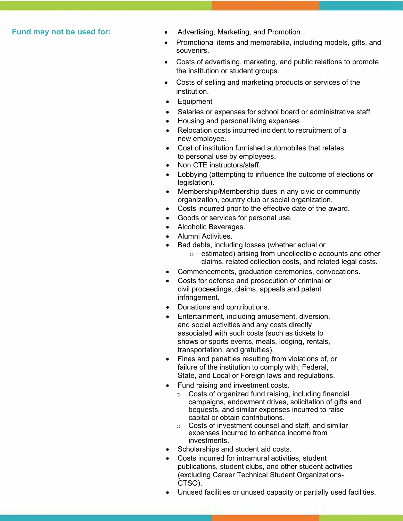- **Fund may not be used for:**  Advertising, Marketing, and Promotion.
	- • Promotional items and memorabilia, including models, gifts, and souvenirs.
	- the institution or student groups. • Costs of advertising, marketing, and public relations to promote
	- $\bullet$ Costs of selling and marketing products or services of the institution.
	- Equipment
	- $\bullet$ Salaries or expenses for school board or administrative staff
	- $\bullet$ • Housing and personal living expenses.
	- • Relocation costs incurred incident to recruitment of a new employee.
	- $\bullet$  to personal use by employees. Cost of institution furnished automobiles that relates
	- Non CTE instructors/staff.
	- Lobbying (attempting to influence the outcome of elections or legislation).
	- • Membership/Membership dues in any civic or community organization, country club or social organization.
	- Costs incurred prior to the effective date of the award.
	- $\bullet$ Goods or services for personal use.
	- $\bullet$ • Alcoholic Beverages.
	- Alumni Activities.
	- Bad debts, including losses (whether actual or
		- $\circ$  estimated) arising from uncollectible accounts and other claims, related collection costs, and related legal costs.
	- Commencements, graduation ceremonies, convocations.
	- Costs for defense and prosecution of criminal or civil proceedings, claims, appeals and patent infringement.
	- Donations and contributions.
	- and social activities and any costs directly associated with such costs (such as tickets to shows or sports events, meals, lodging, rentals, • Entertainment, including amusement, diversion, transportation, and gratuities).
	- failure of the institution to comply with, Federal, State, and Local or Foreign laws and regulations. • Fines and penalties resulting from violations of, or
	- • Fund raising and investment costs.
		- bequests, and similar expenses incurred to raise capital or obtain contributions. o Costs of organized fund raising, including financial campaigns, endowment drives, solicitation of gifts and
		- expenses incurred to enhance income from o Costs of investment counsel and staff, and similar investments.
	- Scholarships and student aid costs.
	- (excluding Career Technical Student Organizations-Costs incurred for intramural activities, student publications, student clubs, and other student activities CTSO).
	- Unused facilities or unused capacity or partially used facilities.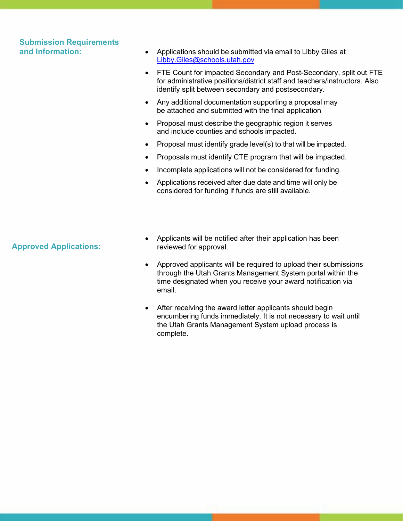## **Submission Requirements**

- **and Information:**  Applications should be submitted via email to Libby Giles at [Libby.Giles@schools.utah.gov](mailto:Libby.Giles@schools.utah.gov) 
	- identify split between secondary and postsecondary. • FTE Count for impacted Secondary and Post-Secondary, split out FTE for administrative positions/district staff and teachers/instructors. Also
	- • Any additional documentation supporting a proposal may be attached and submitted with the final application
	- • Proposal must describe the geographic region it serves and include counties and schools impacted.
	- Proposal must identify grade level(s) to that will be impacted.
	- Proposals must identify CTE program that will be impacted.
	- Incomplete applications will not be considered for funding.
	- • Applications received after due date and time will only be considered for funding if funds are still available.

#### **Approved Applications:**

- Applicants will be notified after their application has been reviewed for approval.
- through the Utah Grants Management System portal within the • Approved applicants will be required to upload their submissions time designated when you receive your award notification via email.
- the Utah Grants Management System upload process is After receiving the award letter applicants should begin encumbering funds immediately. It is not necessary to wait until complete.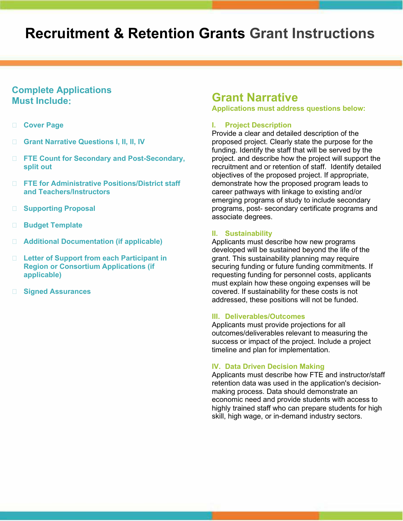### **Recruitment & Retention Grants Grant Instructions**

#### **Complete Applications Must Include:**

- **Cover Page**
- **Grant Narrative Questions I, II, II, IV**
- **FTE Count for Secondary and Post-Secondary, split out**
- **FTE for Administrative Positions/District staff and Teachers/Instructors**
- **Supporting Proposal**
- **Budget Template**
- **Additional Documentation (if applicable)**
- **Letter of Support from each Participant in Region or Consortium Applications (if applicable)**
- **Signed Assurances**

#### **Grant Narrative**

**Applications must address questions below:** 

#### **I. Project Description**

 Provide a clear and detailed description of the proposed project. Clearly state the purpose for the funding. Identify the staff that will be served by the project. and describe how the project will support the recruitment and or retention of staff. Identify detailed objectives of the proposed project. If appropriate, demonstrate how the proposed program leads to career pathways with linkage to existing and/or emerging programs of study to include secondary programs, post- secondary certificate programs and associate degrees.

#### **II. Sustainability**

 securing funding or future funding commitments. If must explain how these ongoing expenses will be Applicants must describe how new programs developed will be sustained beyond the life of the grant. This sustainability planning may require requesting funding for personnel costs, applicants covered. If sustainability for these costs is not addressed, these positions will not be funded.

#### **III. Deliverables/Outcomes**

 Applicants must provide projections for all success or impact of the project. Include a project outcomes/deliverables relevant to measuring the timeline and plan for implementation.

#### **IV. Data Driven Decision Making**

 making process. Data should demonstrate an highly trained staff who can prepare students for high Applicants must describe how FTE and instructor/staff retention data was used in the application's decisioneconomic need and provide students with access to skill, high wage, or in-demand industry sectors.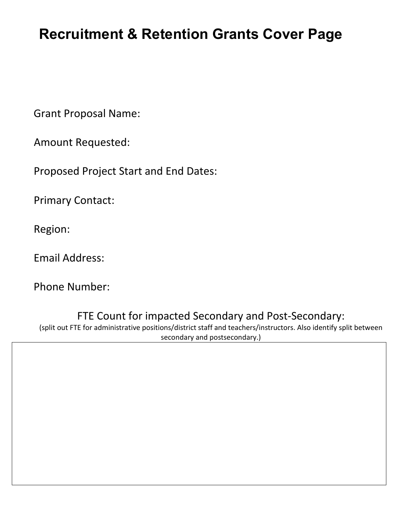### **Recruitment & Retention Grants Cover Page**

Grant Proposal Name:

Amount Requested:

Proposed Project Start and End Dates:

Primary Contact:<br>Region:

Email Address:

Phone Number:

FTE Count for impacted Secondary and Post-Secondary:

 (split out FTE for administrative positions/district staff and teachers/instructors. Also identify split between secondary and postsecondary.)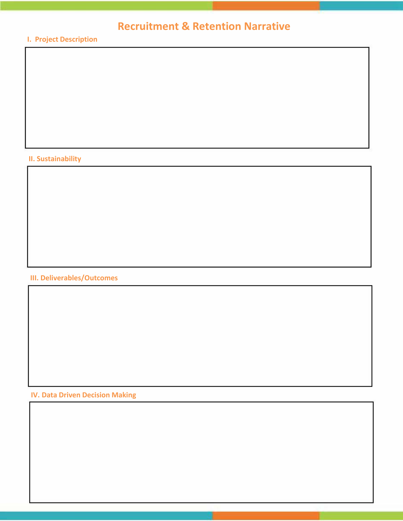### **Recruitment & Retention Narrative**

#### **I. Project Description**

#### **II. Sustainability**

#### **III. Deliverables/Outcomes**

 **IV. Data Driven Decision Making**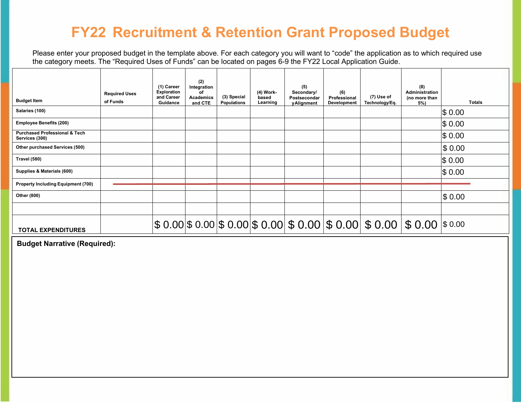### **FY22 Recruitment & Retention Grant Proposed Budget**

 Please enter your proposed budget in the template above. For each category you will want to "code" the application as to which required use the category meets. The "Required Uses of Funds" can be located on pages 6-9 the FY22 Local Application Guide.

| <b>Budget Item</b>                                         | <b>Required Uses</b><br>of Funds | (1) Career<br>Exploration<br>and Career<br>Guidance | (2)<br>Integration<br>Ωf<br><b>Academics</b><br>and CTE | (3) Special<br><b>Populations</b> | (4) Work-<br>based<br>Learning | (5)<br>Secondary/<br>Postsecondar<br>yAlignment | (6)<br>Professional<br><b>Development</b> | (7) Use of<br>Technology/Eq.                                                                       | (8)<br>Administration<br>(no more than<br>5%) | <b>Totals</b> |
|------------------------------------------------------------|----------------------------------|-----------------------------------------------------|---------------------------------------------------------|-----------------------------------|--------------------------------|-------------------------------------------------|-------------------------------------------|----------------------------------------------------------------------------------------------------|-----------------------------------------------|---------------|
| Salaries (100)                                             |                                  |                                                     |                                                         |                                   |                                |                                                 |                                           |                                                                                                    |                                               | \$0.00        |
| <b>Employee Benefits (200)</b>                             |                                  |                                                     |                                                         |                                   |                                |                                                 |                                           |                                                                                                    |                                               | \$0.00        |
| <b>Purchased Professional &amp; Tech</b><br>Services (300) |                                  |                                                     |                                                         |                                   |                                |                                                 |                                           |                                                                                                    |                                               | \$0.00        |
| Other purchased Services (500)                             |                                  |                                                     |                                                         |                                   |                                |                                                 |                                           |                                                                                                    |                                               | \$0.00        |
| Travel (580)                                               |                                  |                                                     |                                                         |                                   |                                |                                                 |                                           |                                                                                                    |                                               | \$0.00        |
| Supplies & Materials (600)                                 |                                  |                                                     |                                                         |                                   |                                |                                                 |                                           |                                                                                                    |                                               | \$0.00        |
| <b>Property Including Equipment (700)</b>                  |                                  |                                                     |                                                         |                                   |                                |                                                 |                                           |                                                                                                    |                                               |               |
| Other (800)                                                |                                  |                                                     |                                                         |                                   |                                |                                                 |                                           |                                                                                                    |                                               | \$0.00        |
|                                                            |                                  |                                                     |                                                         |                                   |                                |                                                 |                                           |                                                                                                    |                                               |               |
| <b>TOTAL EXPENDITURES</b>                                  |                                  |                                                     |                                                         |                                   |                                |                                                 |                                           | $ \$$ 0.00 $ \$$ 0.00 $ \$$ 0.00 $ \$$ 0.00 $ \$$ 0.00 $ \$$ 0.00 $ \$$ 0.00 $ \$$ 0.00 $ \$$ 0.00 |                                               |               |

 **Budget Narrative (Required):**